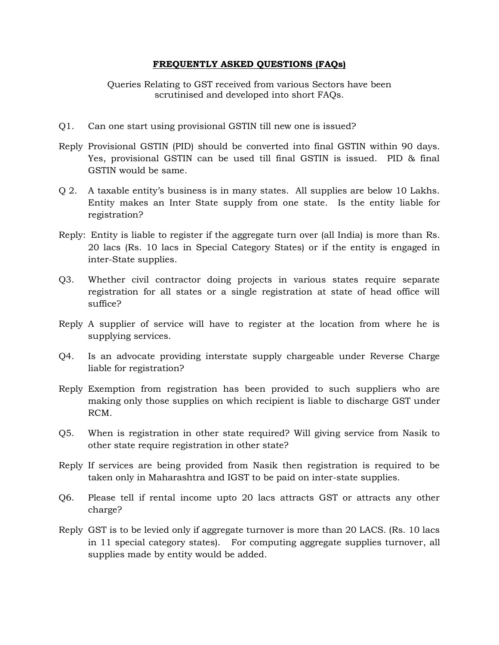## **FREQUENTLY ASKED QUESTIONS (FAQs)**

Queries Relating to GST received from various Sectors have been scrutinised and developed into short FAQs.

- Q1. Can one start using provisional GSTIN till new one is issued?
- Reply Provisional GSTIN (PID) should be converted into final GSTIN within 90 days. Yes, provisional GSTIN can be used till final GSTIN is issued. PID & final GSTIN would be same.
- Q 2. A taxable entity's business is in many states. All supplies are below 10 Lakhs. Entity makes an Inter State supply from one state. Is the entity liable for registration?
- Reply: Entity is liable to register if the aggregate turn over (all India) is more than Rs. 20 lacs (Rs. 10 lacs in Special Category States) or if the entity is engaged in inter-State supplies.
- Q3. Whether civil contractor doing projects in various states require separate registration for all states or a single registration at state of head office will suffice?
- Reply A supplier of service will have to register at the location from where he is supplying services.
- Q4. Is an advocate providing interstate supply chargeable under Reverse Charge liable for registration?
- Reply Exemption from registration has been provided to such suppliers who are making only those supplies on which recipient is liable to discharge GST under RCM.
- Q5. When is registration in other state required? Will giving service from Nasik to other state require registration in other state?
- Reply If services are being provided from Nasik then registration is required to be taken only in Maharashtra and IGST to be paid on inter-state supplies.
- Q6. Please tell if rental income upto 20 lacs attracts GST or attracts any other charge?
- Reply GST is to be levied only if aggregate turnover is more than 20 LACS. (Rs. 10 lacs in 11 special category states). For computing aggregate supplies turnover, all supplies made by entity would be added.